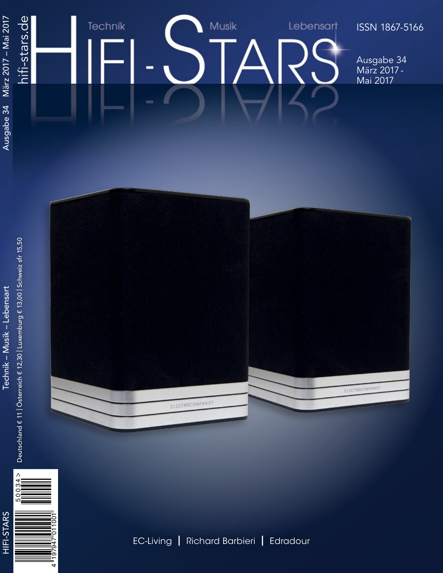## hifi-stars.de hifi-stars.de Technik Musik Lebensart ISSN 1867-5166

Ausgabe 34 März 2017 - Mai 2017



 $50034 >$ 

4 4 97

197947 011001

iЯ.

═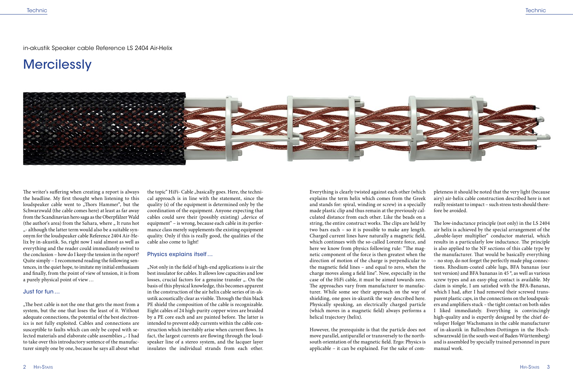in-akustik Speaker cable Reference LS 2404 Air-Helix

# **Mercilessly**



the topic" HiFi- Cable "basically goes. Here, the technical approach is in line with the statement, since the quality (s) of the equipment is determined only by the coordination of the equipment. Anyone expecting that cables could save their (possibly existing) "device of equipment" – is wrong, because each cable in its performance class merely supplements the existing equipment quality. Only if this is really good, the qualities of the cable also come to light!

#### Physics explains itself…

"Not only in the field of high-end applications is air the best insulator for cables. It allows low capacities and low losses, crucial factors for a genuine transfer ". On the basis of this physical knowledge, this becomes apparent in the construction of the air helix cable series of in-akustik acoustically clear as visible. Through the thin black PE shield the composition of the cable is recognizable. Eight cables of 24 high-purity copper wires are braided by a PE core each and are painted before. The latter is intended to prevent eddy currents within the cable construction which inevitably arise when current flows. In fact, the largest currents are flowing through the loudspeaker line of a stereo system, and the lacquer layer insulates the individual strands from each other.

The writer's suffering when creating a report is always the headline. My first thought when listening to this loudspeaker cable went to "Thors Hammer", but the Schwarzwald (the cable comes here) at least as far away from the Scandinavian hero saga as the Oberpfälzer Wald (the author's area) from the Sahara, where "It runs hot "- although the latter term would also be a suitable synonym for the loudspeaker cable Reference 2404 Air-Helix by in-akustik. So, right now I said almost as well as everything and the reader could immediately swivel to the conclusion – how do I keep the tension in the report? Quite simply – I recommend reading the following sentences, in the quiet hope, to imitate my initial enthusiasm and finally, from the point of view of tension, it is from a purely physical point of view…

#### Just for fun…

"The best cable is not the one that gets the most from a system, but the one that loses the least of it. Without adequate connections, the potential of the best electronics is not fully exploited. Cables and connections are susceptible to faults which can only be coped with selected materials and elaborate cable assemblies "- I had to take over this introductory sentence of the manufacturer simply one by one, because he says all about what

Everything is clearly twisted against each other (which explains the term helix which comes from the Greek and stands for: spiral, winding or screw) in a specially made plastic clip and thus remain at the previously calculated distance from each other. Like the beads on a string, the entire construct works. The clips are held by two bars each – so it is possible to make any length. Charged current lines have naturally a magnetic field, which continues with the so-called Lorentz force, and here we know from physics following rule: "The magnetic component of the force is then greatest when the direction of motion of the charge is perpendicular to the magnetic field lines – and equal to zero, when the charge moves along a field line". Now, especially in the case of the HiFi cable, it must be aimed towards zero. The approaches vary from manufacturer to manufacturer. While some see their approach on the way of shielding, one goes in-akustik the way described here. Physically speaking, an electrically charged particle (which moves in a magnetic field) always performs a helical trajectory (helix).

However, the prerequisite is that the particle does not move parallel, antiparallel or transversely to the northsouth orientation of the magnetic field. Ergo: Physics is applicable – it can be explained. For the sake of completeness it should be noted that the very light (because airy) air-helix cable construction described here is not really resistant to impact – such stress tests should therefore be avoided.

The low-inductance principle (not only) in the LS 2404 air helix is achieved by the special arrangement of the "double-layer multiplier" conductor material, which results in a particularly low inductance. The principle is also applied to the NF sections of this cable type by the manufacturer. That would be basically everything – no stop, do not forget the perfectly made plug connections. Rhodium-coated cable lugs, BFA bananas (our test version) and BFA bananas in 45 °, as well as various screw types and an easy-plug contact is available. My claim is simple, I am satisfied with the BFA-Bananas, which I had, after I had removed their screwed transparent plastic caps, in the connections on the loudspeakers and amplifiers stuck – the tight contact on both sides I liked immediately. Everything is convincingly high-quality and is expertly designed by the chief developer Holger Wachsmann in the cable manufacturer of in-akustik in Ballrechten-Dottingen in the Hochschwarzwald (in the south-west of Baden-Württemberg) and is assembled by specially trained personnel in pure manual work.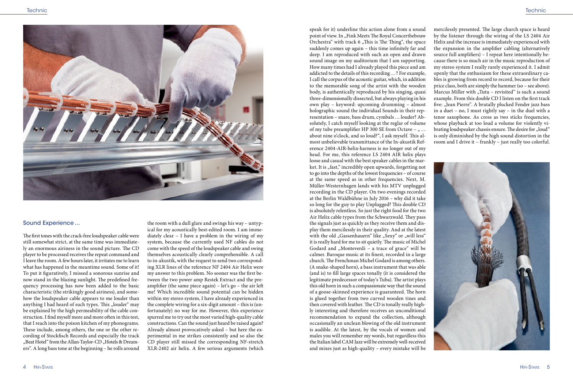

## Sound Experience…

The first tones with the crack-free loudspeaker cable were still somewhat strict, at the same time was immediately an enormous airiness in the sound picture. The CD player to be processed receives the repeat command and I leave the room. A few hours later, it irritates me to learn what has happened in the meantime sound. Some of it! To put it figuratively, I missed a sonorous sunrise and now stand in the blazing sunlight. The predefined frequency processing has now been added to the basic characteristic (the strikingly good airiness), and somehow the loudspeaker cable appears to me louder than anything I had heard of such types. This "louder" may be explained by the high permeability of the cable construction. I find myself more and more often in this test, that I reach into the poison kitchen of my phonograms. These include, among others, the one or the other recording of Stockfisch Records and especially the track "Beat Hotel" from the Allan-Taylor-CD "Hotels & Dreamers". A long bass tone at the beginning – he rolls around

the room with a dull glare and swings his way – untypical for my acoustically best-edited room. I am immediately clear – I have a problem in the wiring of my system, because the currently used NF cables do not come with the speed of the loudspeaker cable and swing themselves acoustically clearly comprehensible. A call to in-akustik, with the request to send two corresponding XLR lines of the reference NF 2404 Air Helix were my answer to this problem. No sooner was the first between the two power amp Restek Extract and the preamplifier (the same piece again) – let's go – the air left me! Which incredible sound potential can be hidden within my stereo system, I have already experienced in the complete wiring for a six-digit amount – this is (unfortunately) no way for me. However, this experience spurred me to try out the most varied high-quality cable constructions. Can the sound just heard be raised again? Already almost provocatively asked – but here the experimental in me strikes consistently and so also the CD player still missed the corresponding NF-stretch XLR-2402 air helix. A few serious arguments (which

speak for it) underline this action alone from a sound point of view. In "Fink Meets The Royal Concertbebouw Orchestra" with track  $6$ , This is The Thing", the space suddenly comes up again – this time infinitely far and deep. I am reproduced with such an open and drawn sound image on my auditorium that I am supporting. How many times had I already played this piece and am addicted to the details of this recording…? For example, I call the corpus of the acoustic guitar, which, in addition to the memorable song of the artist with the wooden body, is authentically reproduced by his singing, quasi three-dimensionally dissected, but always playing in his own play – keyword: upcoming drumming – almost holographic sound the individual Sounds in their representation – snare, bass drum, cymbals… louder? Absolutely, I catch myself looking at the reglar of volume of my tube preamplifier HP 300 SE from Octave –  $, \ldots$ about nine o'clock, and so loud?", I ask myself. This almost unbelievable transmittance of the In-akustik Reference 2404-AIR-helix-harness is no longer out of my head. For me, this reference LS 2404 AIR helix plays loose and casual with the best speaker cables in the market. It is "fast," incredibly open upwards, forgetting not to go into the depths of the lowest frequencies – of course at the same speed as in other frequencies. Next, M. Müller-Westernhagen lands with his MTV unplugged recording in the CD player. On two evenings recorded at the Berlin Waldbühne in July 2016 – why did it take so long for the guy to play Unplugged? This double CD is absolutely relentless. So just the right food for the two Air Helix cable types from the Schwarzwald. They pass the signals just as quickly as they receive them and display them mercilessly in their quality. And at the latest with the old "Gassenhauern" like "Sexy" or "will less" it is really hard for me to sit quietly. The music of Michel Godard and "Monteverdi - a trace of grace" will be calmer. Baroque music at its finest, recorded in a large church. The Frenchman Michel Godard is among others. (A snake-shaped horn), a bass instrument that was able (and is) to fill large spaces tonally (it is considered the legitimate predecessor of today's Tuba). The artist plays this old horn in such a compassionate way that the sound of a goose-skinned experience is guaranteed. The horn is glued together from two curved wooden tines and then covered with leather. The CD is tonally really highly interesting and therefore receives an unconditional recommendation to expand the collection, although occasionally an unclean blowing of the old instrument is audible. At the latest, by the vocals of women and males you will remember my words, but regardless this the Italian label CAM Jazz will be extremely well-received and mixes just as high-quality – every mistake will be

mercilessly presented. The large church space is heard by the listener through the wiring of the LS 2404 Air Helix and the increase is immediately experienced with the expansion in the amplifier cabling (alternatively source full amplifiers) – I repeat here intentionally because there is so much air in the music reproduction of my stereo system I really rarely experienced it. I admit openly that the enthusiasm for these extraordinary cables is growing from record to record, because for their price class, both are simply the hammer (so – see above). Marcus Miller with "Tutu – revisited" is such a sound example. From this double CD I listen on the first track five: "Jean Pierre". A brutally plucked Fender jazz bass in a duet – no, I must rightly say – in the duel with a tenor saxophone. As cross as two sticks frequencies, whose playback at too loud a volume for violently vibrating loudspeaker chassis ensure. The desire for "loud" is only diminished by the high sound distortion in the room and I drive it – frankly – just really too colorful.